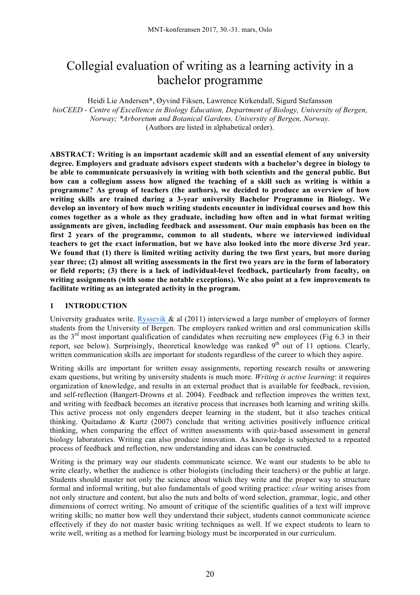# Collegial evaluation of writing as a learning activity in a bachelor programme

Heidi Lie Andersen\*, Øyvind Fiksen, Lawrence Kirkendall, Sigurd Stefansson *bioCEED - Centre of Excellence in Biology Education, Department of Biology, University of Bergen, Norway; \*Arboretum and Botanical Gardens, University of Bergen, Norway.*  (Authors are listed in alphabetical order).

**ABSTRACT: Writing is an important academic skill and an essential element of any university degree. Employers and graduate advisors expect students with a bachelor's degree in biology to be able to communicate persuasively in writing with both scientists and the general public. But how can a collegium assess how aligned the teaching of a skill such as writing is within a programme? As group of teachers (the authors), we decided to produce an overview of how writing skills are trained during a 3-year university Bachelor Programme in Biology. We develop an inventory of how much writing students encounter in individual courses and how this comes together as a whole as they graduate, including how often and in what format writing assignments are given, including feedback and assessment. Our main emphasis has been on the first 2 years of the programme, common to all students, where we interviewed individual teachers to get the exact information, but we have also looked into the more diverse 3rd year. We found that (1) there is limited writing activity during the two first years, but more during** year three: (2) almost all writing assessments in the first two years are in the form of laboratory **or field reports; (3) there is a lack of individual-level feedback, particularly from faculty, on writing assignments (with some the notable exceptions). We also point at a few improvements to facilitate writing as an integrated activity in the program.** 

## **1 INTRODUCTION**

University graduates write. Ryssevik  $\&$  al (2011) interviewed a large number of employers of former students from the University of Bergen. The employers ranked written and oral communication skills as the 3rd most important qualification of candidates when recruiting new employees (Fig 6.3 in their report, see below). Surprisingly, theoretical knowledge was ranked 9<sup>th</sup> out of 11 options. Clearly, written communication skills are important for students regardless of the career to which they aspire.

Writing skills are important for written essay assignments, reporting research results or answering exam questions, but writing by university students is much more. *Writing is active learning*: it requires organization of knowledge, and results in an external product that is available for feedback, revision, and self-reflection (Bangert-Drowns et al. 2004). Feedback and reflection improves the written text, and writing with feedback becomes an iterative process that increases both learning and writing skills. This active process not only engenders deeper learning in the student, but it also teaches critical thinking. Quitadamo & Kurtz (2007) conclude that writing activities positively influence critical thinking, when comparing the effect of written assessments with quiz-based assessment in general biology laboratories. Writing can also produce innovation. As knowledge is subjected to a repeated process of feedback and reflection, new understanding and ideas can be constructed.

Writing is the primary way our students communicate science. We want our students to be able to write clearly, whether the audience is other biologists (including their teachers) or the public at large. Students should master not only the science about which they write and the proper way to structure formal and informal writing, but also fundamentals of good writing practice: *clear* writing arises from not only structure and content, but also the nuts and bolts of word selection, grammar, logic, and other dimensions of correct writing. No amount of critique of the scientific qualities of a text will improve writing skills; no matter how well they understand their subject, students cannot communicate science effectively if they do not master basic writing techniques as well. If we expect students to learn to write well, writing as a method for learning biology must be incorporated in our curriculum.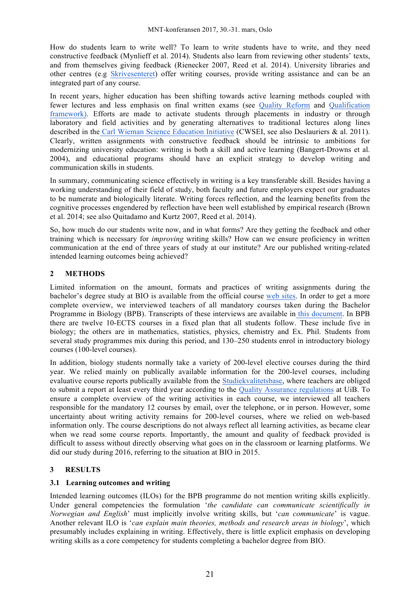How do students learn to write well? To learn to write students have to write, and they need constructive feedback (Mynlieff et al. 2014). Students also learn from reviewing other students' texts, and from themselves giving feedback (Rienecker 2007, Reed et al. 2014). University libraries and other centres (e.g Skrivesenteret) offer writing courses, provide writing assistance and can be an integrated part of any course.

In recent years, higher education has been shifting towards active learning methods coupled with fewer lectures and less emphasis on final written exams (see Quality Reform and Qualification framework). Efforts are made to activate students through placements in industry or through laboratory and field activities and by generating alternatives to traditional lectures along lines described in the Carl Wieman Science Education Initiative (CWSEI, see also Deslauriers & al. 2011). Clearly, written assignments with constructive feedback should be intrinsic to ambitions for modernizing university education: writing is both a skill and active learning (Bangert-Drowns et al. 2004), and educational programs should have an explicit strategy to develop writing and communication skills in students.

In summary, communicating science effectively in writing is a key transferable skill. Besides having a working understanding of their field of study, both faculty and future employers expect our graduates to be numerate and biologically literate. Writing forces reflection, and the learning benefits from the cognitive processes engendered by reflection have been well established by empirical research (Brown et al. 2014; see also Quitadamo and Kurtz 2007, Reed et al. 2014).

So, how much do our students write now, and in what forms? Are they getting the feedback and other training which is necessary for *improving* writing skills? How can we ensure proficiency in written communication at the end of three years of study at our institute? Are our published writing-related intended learning outcomes being achieved?

## **2 METHODS**

Limited information on the amount, formats and practices of writing assignments during the bachelor's degree study at BIO is available from the official course web sites. In order to get a more complete overview, we interviewed teachers of all mandatory courses taken during the Bachelor Programme in Biology (BPB). Transcripts of these interviews are available in this document. In BPB there are twelve 10-ECTS courses in a fixed plan that all students follow. These include five in biology; the others are in mathematics, statistics, physics, chemistry and Ex. Phil. Students from several study programmes mix during this period, and 130–250 students enrol in introductory biology courses (100-level courses).

In addition, biology students normally take a variety of 200-level elective courses during the third year. We relied mainly on publically available information for the 200-level courses, including evaluative course reports publically available from the Studiekvalitetsbase, where teachers are obliged to submit a report at least every third year according to the Quality Assurance regulations at UiB. To ensure a complete overview of the writing activities in each course, we interviewed all teachers responsible for the mandatory 12 courses by email, over the telephone, or in person. However, some uncertainty about writing activity remains for 200-level courses, where we relied on web-based information only. The course descriptions do not always reflect all learning activities, as became clear when we read some course reports. Importantly, the amount and quality of feedback provided is difficult to assess without directly observing what goes on in the classroom or learning platforms. We did our study during 2016, referring to the situation at BIO in 2015.

## **3 RESULTS**

## **3.1 Learning outcomes and writing**

Intended learning outcomes (ILOs) for the BPB programme do not mention writing skills explicitly. Under general competencies the formulation '*the candidate can communicate scientifically in Norwegian and English*' must implicitly involve writing skills, but '*can communicate*' is vague. Another relevant ILO is '*can explain main theories, methods and research areas in biology*', which presumably includes explaining in writing. Effectively, there is little explicit emphasis on developing writing skills as a core competency for students completing a bachelor degree from BIO.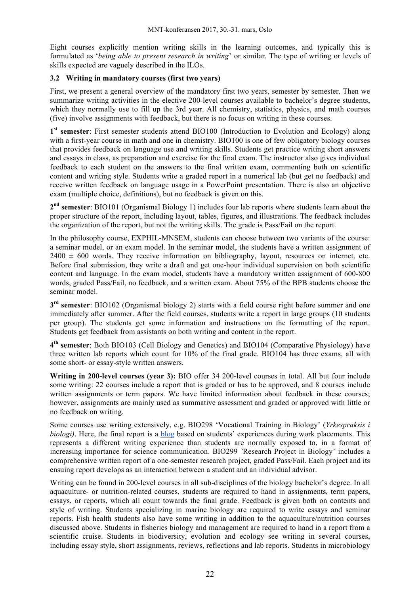Eight courses explicitly mention writing skills in the learning outcomes, and typically this is formulated as '*being able to present research in writing*' or similar. The type of writing or levels of skills expected are vaguely described in the ILOs.

#### **3.2 Writing in mandatory courses (first two years)**

First, we present a general overview of the mandatory first two years, semester by semester. Then we summarize writing activities in the elective 200-level courses available to bachelor's degree students, which they normally use to fill up the 3rd year. All chemistry, statistics, physics, and math courses (five) involve assignments with feedback, but there is no focus on writing in these courses.

**1st semester**: First semester students attend BIO100 (Introduction to Evolution and Ecology) along with a first-year course in math and one in chemistry. BIO100 is one of few obligatory biology courses that provides feedback on language use and writing skills. Students get practice writing short answers and essays in class, as preparation and exercise for the final exam. The instructor also gives individual feedback to each student on the answers to the final written exam, commenting both on scientific content and writing style. Students write a graded report in a numerical lab (but get no feedback) and receive written feedback on language usage in a PowerPoint presentation. There is also an objective exam (multiple choice, definitions), but no feedback is given on this.

**2nd semester**: BIO101 (Organismal Biology 1) includes four lab reports where students learn about the proper structure of the report, including layout, tables, figures, and illustrations. The feedback includes the organization of the report, but not the writing skills. The grade is Pass/Fail on the report.

In the philosophy course, EXPHIL-MNSEM, students can choose between two variants of the course: a seminar model, or an exam model. In the seminar model, the students have a written assignment of  $2400 \pm 600$  words. They receive information on bibliography, layout, resources on internet, etc. Before final submission, they write a draft and get one-hour individual supervision on both scientific content and language. In the exam model, students have a mandatory written assignment of 600-800 words, graded Pass/Fail, no feedback, and a written exam. About 75% of the BPB students choose the seminar model.

**3rd semester**: BIO102 (Organismal biology 2) starts with a field course right before summer and one immediately after summer. After the field courses, students write a report in large groups (10 students per group). The students get some information and instructions on the formatting of the report. Students get feedback from assistants on both writing and content in the report.

**4th semester**: Both BIO103 (Cell Biology and Genetics) and BIO104 (Comparative Physiology) have three written lab reports which count for 10% of the final grade. BIO104 has three exams, all with some short- or essay-style written answers.

**Writing in 200-level courses (year 3):** BIO offer 34 200-level courses in total. All but four include some writing: 22 courses include a report that is graded or has to be approved, and 8 courses include written assignments or term papers. We have limited information about feedback in these courses; however, assignments are mainly used as summative assessment and graded or approved with little or no feedback on writing.

Some courses use writing extensively, e.g. BIO298 'Vocational Training in Biology' (*Yrkespraksis i biologi)*. Here, the final report is a blog based on students' experiences during work placements. This represents a different writing experience than students are normally exposed to, in a format of increasing importance for science communication. BIO299 *'*Research Project in Biology' includes a comprehensive written report of a one-semester research project, graded Pass/Fail. Each project and its ensuing report develops as an interaction between a student and an individual advisor.

Writing can be found in 200-level courses in all sub-disciplines of the biology bachelor's degree. In all aquaculture- or nutrition-related courses, students are required to hand in assignments, term papers, essays, or reports, which all count towards the final grade. Feedback is given both on contents and style of writing. Students specializing in marine biology are required to write essays and seminar reports. Fish health students also have some writing in addition to the aquaculture/nutrition courses discussed above. Students in fisheries biology and management are required to hand in a report from a scientific cruise. Students in biodiversity, evolution and ecology see writing in several courses, including essay style, short assignments, reviews, reflections and lab reports. Students in microbiology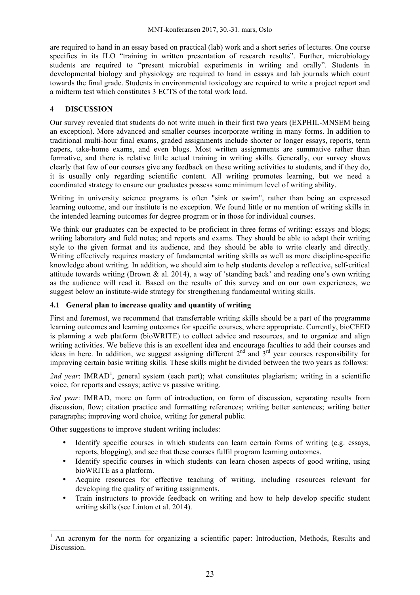are required to hand in an essay based on practical (lab) work and a short series of lectures. One course specifies in its ILO "training in written presentation of research results". Further, microbiology students are required to "present microbial experiments in writing and orally". Students in developmental biology and physiology are required to hand in essays and lab journals which count towards the final grade. Students in environmental toxicology are required to write a project report and a midterm test which constitutes 3 ECTS of the total work load.

#### **4 DISCUSSION**

Our survey revealed that students do not write much in their first two years (EXPHIL-MNSEM being an exception). More advanced and smaller courses incorporate writing in many forms. In addition to traditional multi-hour final exams, graded assignments include shorter or longer essays, reports, term papers, take-home exams, and even blogs. Most written assignments are summative rather than formative, and there is relative little actual training in writing skills. Generally, our survey shows clearly that few of our courses give any feedback on these writing activities to students, and if they do, it is usually only regarding scientific content. All writing promotes learning, but we need a coordinated strategy to ensure our graduates possess some minimum level of writing ability.

Writing in university science programs is often "sink or swim", rather than being an expressed learning outcome, and our institute is no exception. We found little or no mention of writing skills in the intended learning outcomes for degree program or in those for individual courses.

We think our graduates can be expected to be proficient in three forms of writing: essays and blogs; writing laboratory and field notes; and reports and exams. They should be able to adapt their writing style to the given format and its audience, and they should be able to write clearly and directly. Writing effectively requires mastery of fundamental writing skills as well as more discipline-specific knowledge about writing. In addition, we should aim to help students develop a reflective, self-critical attitude towards writing (Brown & al. 2014), a way of 'standing back' and reading one's own writing as the audience will read it. Based on the results of this survey and on our own experiences, we suggest below an institute-wide strategy for strengthening fundamental writing skills.

## **4.1 General plan to increase quality and quantity of writing**

First and foremost, we recommend that transferrable writing skills should be a part of the programme learning outcomes and learning outcomes for specific courses, where appropriate. Currently, bioCEED is planning a web platform (bioWRITE) to collect advice and resources, and to organize and align writing activities. We believe this is an excellent idea and encourage faculties to add their courses and ideas in here. In addition, we suggest assigning different  $2<sup>nd</sup>$  and  $3<sup>rd</sup>$  year courses responsibility for improving certain basic writing skills. These skills might be divided between the two years as follows:

2nd year: IMRAD<sup>1</sup>, general system (each part); what constitutes plagiarism; writing in a scientific voice, for reports and essays; active vs passive writing.

*3rd year*: IMRAD, more on form of introduction, on form of discussion, separating results from discussion, flow; citation practice and formatting references; writing better sentences; writing better paragraphs; improving word choice, writing for general public.

Other suggestions to improve student writing includes:

 $\overline{a}$ 

- Identify specific courses in which students can learn certain forms of writing (e.g. essays, reports, blogging), and see that these courses fulfil program learning outcomes.
- Identify specific courses in which students can learn chosen aspects of good writing, using bioWRITE as a platform.
- Acquire resources for effective teaching of writing, including resources relevant for developing the quality of writing assignments.
- Train instructors to provide feedback on writing and how to help develop specific student writing skills (see Linton et al. 2014).

 $<sup>1</sup>$  An acronym for the norm for organizing a scientific paper: Introduction, Methods, Results and</sup> Discussion.